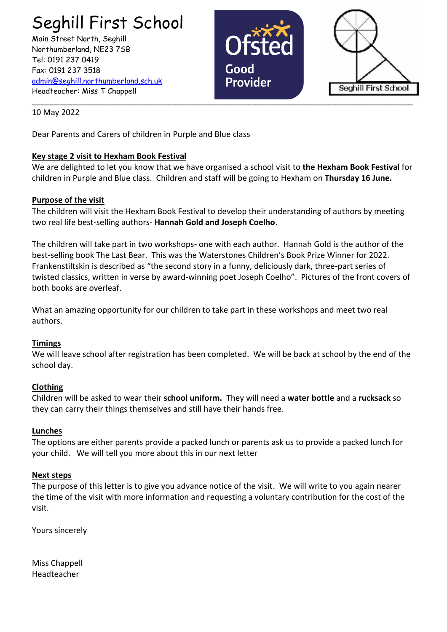# Seghill First School

Main Street North, Seghill Northumberland, NE23 7SB Tel: 0191 237 0419 Fax: 0191 237 3518 [admin@seghill.northumberland.sch.uk](mailto:admin@seghill.northumberland.sch.uk) Headteacher: Miss T Chappell





10 May 2022

Dear Parents and Carers of children in Purple and Blue class

# **Key stage 2 visit to Hexham Book Festival**

We are delighted to let you know that we have organised a school visit to **the Hexham Book Festival** for children in Purple and Blue class. Children and staff will be going to Hexham on **Thursday 16 June.**

# **Purpose of the visit**

The children will visit the Hexham Book Festival to develop their understanding of authors by meeting two real life best-selling authors- **Hannah Gold and Joseph Coelho**.

The children will take part in two workshops- one with each author. Hannah Gold is the author of the best-selling book The Last Bear. This was the Waterstones Children's Book Prize Winner for 2022. Frankenstiltskin is described as "the second story in a funny, deliciously dark, three-part series of twisted classics, written in verse by award-winning poet Joseph Coelho". Pictures of the front covers of both books are overleaf.

What an amazing opportunity for our children to take part in these workshops and meet two real authors.

### **Timings**

We will leave school after registration has been completed. We will be back at school by the end of the school day.

### **Clothing**

Children will be asked to wear their **school uniform.** They will need a **water bottle** and a **rucksack** so they can carry their things themselves and still have their hands free.

### **Lunches**

The options are either parents provide a packed lunch or parents ask us to provide a packed lunch for your child. We will tell you more about this in our next letter

### **Next steps**

The purpose of this letter is to give you advance notice of the visit. We will write to you again nearer the time of the visit with more information and requesting a voluntary contribution for the cost of the visit.

Yours sincerely

Miss Chappell Headteacher